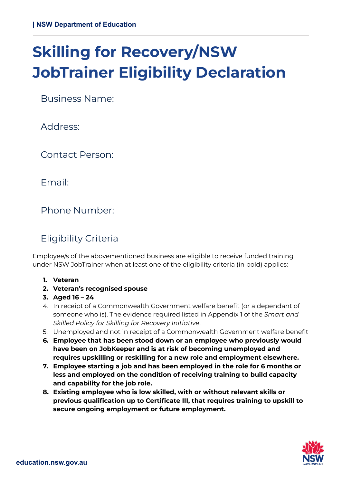# **Skilling for Recovery/NSW JobTrainer Eligibility Declaration**

Business Name:

Address:

Contact Person:

Email:

Phone Number:

## Eligibility Criteria

Employee/s of the abovementioned business are eligible to receive funded training under NSW JobTrainer when at least one of the eligibility criteria (in bold) applies:

- **1. Veteran**
- **2. Veteran's recognised spouse**
- **3. Aged 16 – 24**
- 4. In receipt of a Commonwealth Government welfare benefit (or a dependant of someone who is). The evidence required listed in Appendix 1 of the *Smart and Skilled Policy for Skilling for Recovery Initiative*.
- 5. Unemployed and not in receipt of a Commonwealth Government welfare benefit
- **6. Employee that has been stood down or an employee who previously would have been on JobKeeper and is at risk of becoming unemployed and requires upskilling or reskilling for a new role and employment elsewhere.**
- **7. Employee starting a job and has been employed in the role for 6 months or less and employed on the condition of receiving training to build capacity and capability for the job role.**
- **8. Existing employee who is low skilled, with or without relevant skills or previous qualification up to Certificate III, that requires training to upskill to secure ongoing employment or future employment.**

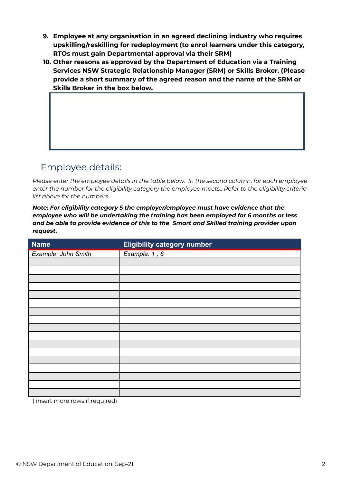- **9. Employee at any organisation in an agreed declining industry who requires upskilling/reskilling for redeployment (to enrol learners under this category, RTOs must gain Departmental approval via their SRM)**
- **10. Other reasons as approved by the Department of Education via a Training Services NSW Strategic Relationship Manager (SRM) or Skills Broker. (Please provide a short summary of the agreed reason and the name of the SRM or Skills Broker in the box below.**

#### Employee details:

*Please enter the employee details in the table below. In the second column, for each employee enter the number for the eligibility category the employee meets.. Refer to the eligibility criteria list above for the numbers*.

*Note: For eligibility category 5 the employer/employee must have evidence that the employee who will be undertaking the training has been employed for 6 months or less and be able to provide evidence of this to the Smart and Skilled training provider upon request.*

| <b>Name</b>                                                    | <b>Eligibility category number</b> |
|----------------------------------------------------------------|------------------------------------|
| Example: John Smith                                            | Example: 1, 6                      |
|                                                                |                                    |
|                                                                |                                    |
|                                                                |                                    |
|                                                                |                                    |
|                                                                |                                    |
|                                                                |                                    |
|                                                                |                                    |
|                                                                |                                    |
|                                                                |                                    |
|                                                                |                                    |
|                                                                |                                    |
|                                                                |                                    |
|                                                                |                                    |
|                                                                |                                    |
|                                                                |                                    |
|                                                                |                                    |
| $\cdot$ $\sim$<br>$\sim$ $\sim$<br>$\cdot$ $\cdot$<br>$\cdots$ |                                    |

( insert more rows if required)